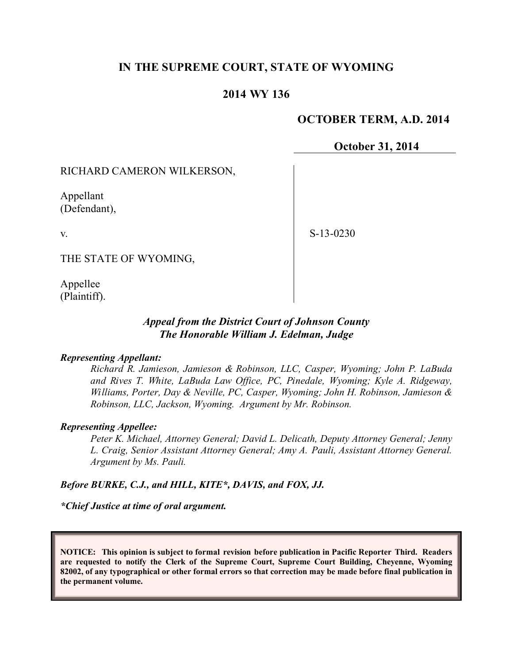# **IN THE SUPREME COURT, STATE OF WYOMING**

### **2014 WY 136**

### **OCTOBER TERM, A.D. 2014**

### **October 31, 2014**

#### RICHARD CAMERON WILKERSON,

Appellant (Defendant),

v.

S-13-0230

THE STATE OF WYOMING,

Appellee (Plaintiff).

## *Appeal from the District Court of Johnson County The Honorable William J. Edelman, Judge*

#### *Representing Appellant:*

*Richard R. Jamieson, Jamieson & Robinson, LLC, Casper, Wyoming; John P. LaBuda and Rives T. White, LaBuda Law Office, PC, Pinedale, Wyoming; Kyle A. Ridgeway, Williams, Porter, Day & Neville, PC, Casper, Wyoming; John H. Robinson, Jamieson & Robinson, LLC, Jackson, Wyoming. Argument by Mr. Robinson.*

#### *Representing Appellee:*

*Peter K. Michael, Attorney General; David L. Delicath, Deputy Attorney General; Jenny L. Craig, Senior Assistant Attorney General; Amy A. Pauli, Assistant Attorney General. Argument by Ms. Pauli.*

*Before BURKE, C.J., and HILL, KITE\*, DAVIS, and FOX, JJ.*

*\*Chief Justice at time of oral argument.*

**NOTICE: This opinion is subject to formal revision before publication in Pacific Reporter Third. Readers are requested to notify the Clerk of the Supreme Court, Supreme Court Building, Cheyenne, Wyoming 82002, of any typographical or other formal errors so that correction may be made before final publication in the permanent volume.**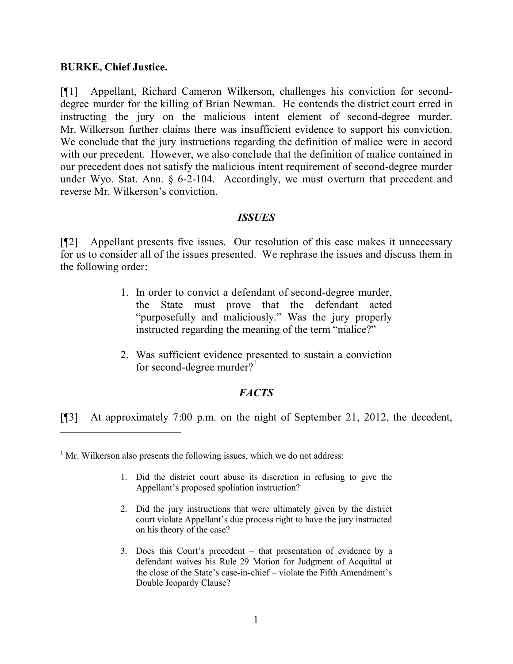### **BURKE, Chief Justice.**

 $\overline{a}$ 

[¶1] Appellant, Richard Cameron Wilkerson, challenges his conviction for seconddegree murder for the killing of Brian Newman. He contends the district court erred in instructing the jury on the malicious intent element of second-degree murder. Mr. Wilkerson further claims there was insufficient evidence to support his conviction. We conclude that the jury instructions regarding the definition of malice were in accord with our precedent. However, we also conclude that the definition of malice contained in our precedent does not satisfy the malicious intent requirement of second-degree murder under Wyo. Stat. Ann. § 6-2-104. Accordingly, we must overturn that precedent and reverse Mr. Wilkerson's conviction.

### *ISSUES*

[¶2] Appellant presents five issues. Our resolution of this case makes it unnecessary for us to consider all of the issues presented. We rephrase the issues and discuss them in the following order:

- 1. In order to convict a defendant of second-degree murder, the State must prove that the defendant acted "purposefully and maliciously." Was the jury properly instructed regarding the meaning of the term "malice?"
- 2. Was sufficient evidence presented to sustain a conviction for second-degree murder? $1$

# *FACTS*

[¶3] At approximately 7:00 p.m. on the night of September 21, 2012, the decedent,

 $<sup>1</sup>$  Mr. Wilkerson also presents the following issues, which we do not address:</sup>

- 1. Did the district court abuse its discretion in refusing to give the Appellant's proposed spoliation instruction?
- 2. Did the jury instructions that were ultimately given by the district court violate Appellant's due process right to have the jury instructed on his theory of the case?
- 3. Does this Court's precedent that presentation of evidence by a defendant waives his Rule 29 Motion for Judgment of Acquittal at the close of the State's case-in-chief – violate the Fifth Amendment's Double Jeopardy Clause?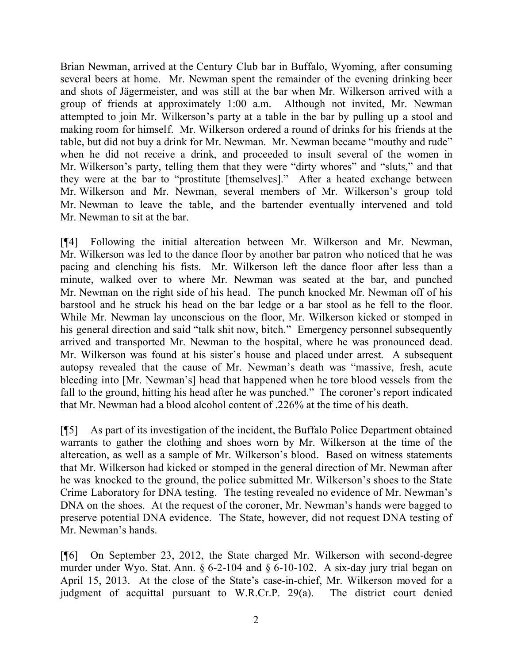Brian Newman, arrived at the Century Club bar in Buffalo, Wyoming, after consuming several beers at home. Mr. Newman spent the remainder of the evening drinking beer and shots of Jägermeister, and was still at the bar when Mr. Wilkerson arrived with a group of friends at approximately 1:00 a.m. Although not invited, Mr. Newman attempted to join Mr. Wilkerson's party at a table in the bar by pulling up a stool and making room for himself. Mr. Wilkerson ordered a round of drinks for his friends at the table, but did not buy a drink for Mr. Newman. Mr. Newman became "mouthy and rude" when he did not receive a drink, and proceeded to insult several of the women in Mr. Wilkerson's party, telling them that they were "dirty whores" and "sluts," and that they were at the bar to "prostitute [themselves]." After a heated exchange between Mr. Wilkerson and Mr. Newman, several members of Mr. Wilkerson's group told Mr. Newman to leave the table, and the bartender eventually intervened and told Mr. Newman to sit at the bar.

[¶4] Following the initial altercation between Mr. Wilkerson and Mr. Newman, Mr. Wilkerson was led to the dance floor by another bar patron who noticed that he was pacing and clenching his fists. Mr. Wilkerson left the dance floor after less than a minute, walked over to where Mr. Newman was seated at the bar, and punched Mr. Newman on the right side of his head. The punch knocked Mr. Newman off of his barstool and he struck his head on the bar ledge or a bar stool as he fell to the floor. While Mr. Newman lay unconscious on the floor, Mr. Wilkerson kicked or stomped in his general direction and said "talk shit now, bitch." Emergency personnel subsequently arrived and transported Mr. Newman to the hospital, where he was pronounced dead. Mr. Wilkerson was found at his sister's house and placed under arrest. A subsequent autopsy revealed that the cause of Mr. Newman's death was "massive, fresh, acute bleeding into [Mr. Newman's] head that happened when he tore blood vessels from the fall to the ground, hitting his head after he was punched." The coroner's report indicated that Mr. Newman had a blood alcohol content of .226% at the time of his death.

[¶5] As part of its investigation of the incident, the Buffalo Police Department obtained warrants to gather the clothing and shoes worn by Mr. Wilkerson at the time of the altercation, as well as a sample of Mr. Wilkerson's blood. Based on witness statements that Mr. Wilkerson had kicked or stomped in the general direction of Mr. Newman after he was knocked to the ground, the police submitted Mr. Wilkerson's shoes to the State Crime Laboratory for DNA testing. The testing revealed no evidence of Mr. Newman's DNA on the shoes. At the request of the coroner, Mr. Newman's hands were bagged to preserve potential DNA evidence. The State, however, did not request DNA testing of Mr. Newman's hands.

[¶6] On September 23, 2012, the State charged Mr. Wilkerson with second-degree murder under Wyo. Stat. Ann. § 6-2-104 and § 6-10-102. A six-day jury trial began on April 15, 2013. At the close of the State's case-in-chief, Mr. Wilkerson moved for a judgment of acquittal pursuant to W.R.Cr.P. 29(a). The district court denied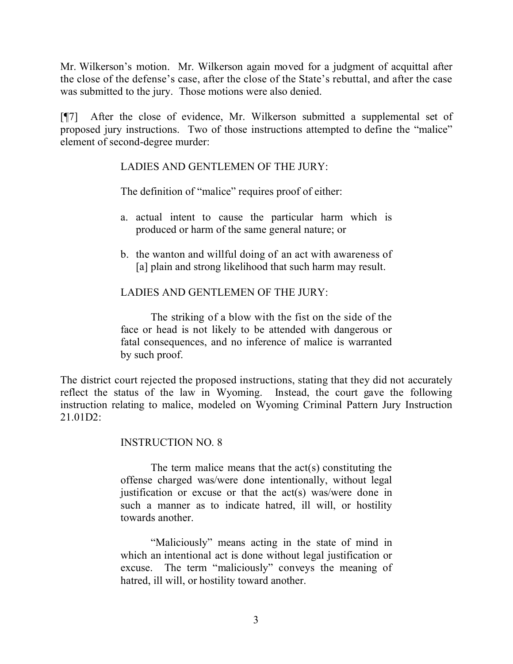Mr. Wilkerson's motion. Mr. Wilkerson again moved for a judgment of acquittal after the close of the defense's case, after the close of the State's rebuttal, and after the case was submitted to the jury. Those motions were also denied.

[¶7] After the close of evidence, Mr. Wilkerson submitted a supplemental set of proposed jury instructions. Two of those instructions attempted to define the "malice" element of second-degree murder:

## LADIES AND GENTLEMEN OF THE JURY:

The definition of "malice" requires proof of either:

- a. actual intent to cause the particular harm which is produced or harm of the same general nature; or
- b. the wanton and willful doing of an act with awareness of [a] plain and strong likelihood that such harm may result.

## LADIES AND GENTLEMEN OF THE JURY:

The striking of a blow with the fist on the side of the face or head is not likely to be attended with dangerous or fatal consequences, and no inference of malice is warranted by such proof.

The district court rejected the proposed instructions, stating that they did not accurately reflect the status of the law in Wyoming. Instead, the court gave the following instruction relating to malice, modeled on Wyoming Criminal Pattern Jury Instruction  $21.01D2$ 

#### INSTRUCTION NO. 8

The term malice means that the act(s) constituting the offense charged was/were done intentionally, without legal justification or excuse or that the act(s) was/were done in such a manner as to indicate hatred, ill will, or hostility towards another.

"Maliciously" means acting in the state of mind in which an intentional act is done without legal justification or excuse. The term "maliciously" conveys the meaning of hatred, ill will, or hostility toward another.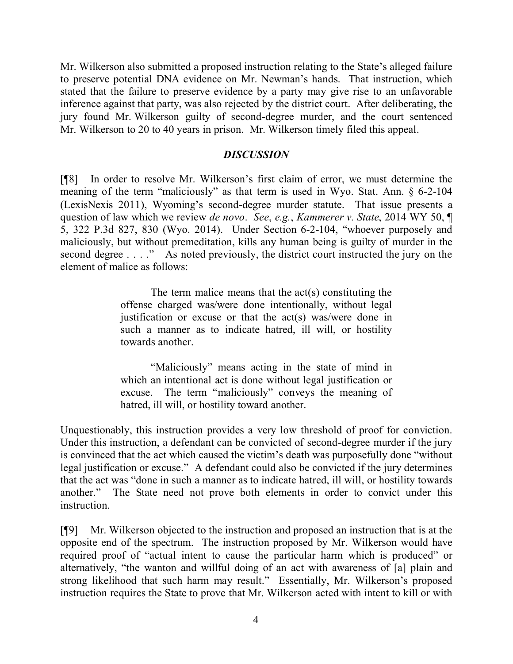Mr. Wilkerson also submitted a proposed instruction relating to the State's alleged failure to preserve potential DNA evidence on Mr. Newman's hands. That instruction, which stated that the failure to preserve evidence by a party may give rise to an unfavorable inference against that party, was also rejected by the district court. After deliberating, the jury found Mr. Wilkerson guilty of second-degree murder, and the court sentenced Mr. Wilkerson to 20 to 40 years in prison. Mr. Wilkerson timely filed this appeal.

### *DISCUSSION*

[¶8] In order to resolve Mr. Wilkerson's first claim of error, we must determine the meaning of the term "maliciously" as that term is used in Wyo. Stat. Ann. § 6-2-104 (LexisNexis 2011), Wyoming's second-degree murder statute. That issue presents a question of law which we review *de novo*. *See*, *e.g.*, *Kammerer v. State*, 2014 WY 50, ¶ 5, 322 P.3d 827, 830 (Wyo. 2014). Under Section 6-2-104, "whoever purposely and maliciously, but without premeditation, kills any human being is guilty of murder in the second degree . . . ." As noted previously, the district court instructed the jury on the element of malice as follows:

> The term malice means that the act(s) constituting the offense charged was/were done intentionally, without legal justification or excuse or that the act(s) was/were done in such a manner as to indicate hatred, ill will, or hostility towards another.

> "Maliciously" means acting in the state of mind in which an intentional act is done without legal justification or excuse. The term "maliciously" conveys the meaning of hatred, ill will, or hostility toward another.

Unquestionably, this instruction provides a very low threshold of proof for conviction. Under this instruction, a defendant can be convicted of second-degree murder if the jury is convinced that the act which caused the victim's death was purposefully done "without legal justification or excuse." A defendant could also be convicted if the jury determines that the act was "done in such a manner as to indicate hatred, ill will, or hostility towards another." The State need not prove both elements in order to convict under this instruction.

[¶9] Mr. Wilkerson objected to the instruction and proposed an instruction that is at the opposite end of the spectrum. The instruction proposed by Mr. Wilkerson would have required proof of "actual intent to cause the particular harm which is produced" or alternatively, "the wanton and willful doing of an act with awareness of [a] plain and strong likelihood that such harm may result." Essentially, Mr. Wilkerson's proposed instruction requires the State to prove that Mr. Wilkerson acted with intent to kill or with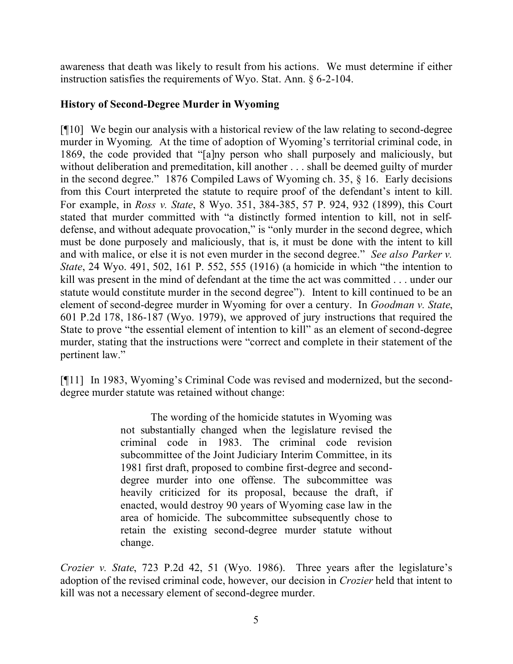awareness that death was likely to result from his actions. We must determine if either instruction satisfies the requirements of Wyo. Stat. Ann. § 6-2-104.

## **History of Second-Degree Murder in Wyoming**

[¶10] We begin our analysis with a historical review of the law relating to second-degree murder in Wyoming. At the time of adoption of Wyoming's territorial criminal code, in 1869, the code provided that "[a]ny person who shall purposely and maliciously, but without deliberation and premeditation, kill another . . . shall be deemed guilty of murder in the second degree." 1876 Compiled Laws of Wyoming ch. 35, § 16. Early decisions from this Court interpreted the statute to require proof of the defendant's intent to kill. For example, in *Ross v. State*, 8 Wyo. 351, 384-385, 57 P. 924, 932 (1899), this Court stated that murder committed with "a distinctly formed intention to kill, not in selfdefense, and without adequate provocation," is "only murder in the second degree, which must be done purposely and maliciously, that is, it must be done with the intent to kill and with malice, or else it is not even murder in the second degree." *See also Parker v. State*, 24 Wyo. 491, 502, 161 P. 552, 555 (1916) (a homicide in which "the intention to kill was present in the mind of defendant at the time the act was committed . . . under our statute would constitute murder in the second degree"). Intent to kill continued to be an element of second-degree murder in Wyoming for over a century. In *Goodman v. State*, 601 P.2d 178, 186-187 (Wyo. 1979), we approved of jury instructions that required the State to prove "the essential element of intention to kill" as an element of second-degree murder, stating that the instructions were "correct and complete in their statement of the pertinent law."

[¶11] In 1983, Wyoming's Criminal Code was revised and modernized, but the seconddegree murder statute was retained without change:

> The wording of the homicide statutes in Wyoming was not substantially changed when the legislature revised the criminal code in 1983. The criminal code revision subcommittee of the Joint Judiciary Interim Committee, in its 1981 first draft, proposed to combine first-degree and seconddegree murder into one offense. The subcommittee was heavily criticized for its proposal, because the draft, if enacted, would destroy 90 years of Wyoming case law in the area of homicide. The subcommittee subsequently chose to retain the existing second-degree murder statute without change.

*Crozier v. State*, 723 P.2d 42, 51 (Wyo. 1986).Three years after the legislature's adoption of the revised criminal code, however, our decision in *Crozier* held that intent to kill was not a necessary element of second-degree murder.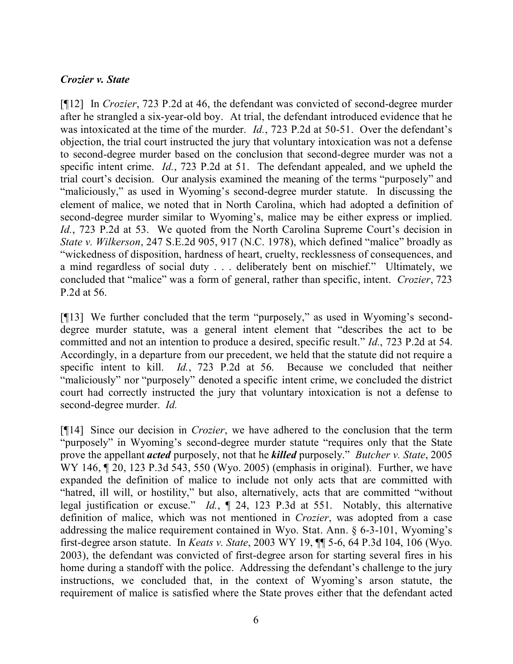## *Crozier v. State*

[¶12] In *Crozier*, 723 P.2d at 46, the defendant was convicted of second-degree murder after he strangled a six-year-old boy. At trial, the defendant introduced evidence that he was intoxicated at the time of the murder. *Id.*, 723 P.2d at 50-51. Over the defendant's objection, the trial court instructed the jury that voluntary intoxication was not a defense to second-degree murder based on the conclusion that second-degree murder was not a specific intent crime. *Id.*, 723 P.2d at 51. The defendant appealed, and we upheld the trial court's decision. Our analysis examined the meaning of the terms "purposely" and "maliciously," as used in Wyoming's second-degree murder statute. In discussing the element of malice, we noted that in North Carolina, which had adopted a definition of second-degree murder similar to Wyoming's, malice may be either express or implied. *Id.*, 723 P.2d at 53. We quoted from the North Carolina Supreme Court's decision in *State v. Wilkerson*, 247 S.E.2d 905, 917 (N.C. 1978), which defined "malice" broadly as "wickedness of disposition, hardness of heart, cruelty, recklessness of consequences, and a mind regardless of social duty . . . deliberately bent on mischief." Ultimately, we concluded that "malice" was a form of general, rather than specific, intent. *Crozier*, 723 P.2d at 56.

[¶13] We further concluded that the term "purposely," as used in Wyoming's seconddegree murder statute, was a general intent element that "describes the act to be committed and not an intention to produce a desired, specific result." *Id.*, 723 P.2d at 54. Accordingly, in a departure from our precedent, we held that the statute did not require a specific intent to kill. *Id.*, 723 P.2d at 56. Because we concluded that neither "maliciously" nor "purposely" denoted a specific intent crime, we concluded the district court had correctly instructed the jury that voluntary intoxication is not a defense to second-degree murder. *Id.*

[¶14] Since our decision in *Crozier*, we have adhered to the conclusion that the term "purposely" in Wyoming's second-degree murder statute "requires only that the State prove the appellant *acted* purposely, not that he *killed* purposely." *Butcher v. State*, 2005 WY 146,  $\sim$  20, 123 P.3d 543, 550 (Wyo. 2005) (emphasis in original). Further, we have expanded the definition of malice to include not only acts that are committed with "hatred, ill will, or hostility," but also, alternatively, acts that are committed "without legal justification or excuse." *Id.*, ¶ 24, 123 P.3d at 551. Notably, this alternative definition of malice, which was not mentioned in *Crozier*, was adopted from a case addressing the malice requirement contained in Wyo. Stat. Ann. § 6-3-101, Wyoming's first-degree arson statute. In *Keats v. State*, 2003 WY 19, ¶¶ 5-6, 64 P.3d 104, 106 (Wyo. 2003), the defendant was convicted of first-degree arson for starting several fires in his home during a standoff with the police. Addressing the defendant's challenge to the jury instructions, we concluded that, in the context of Wyoming's arson statute, the requirement of malice is satisfied where the State proves either that the defendant acted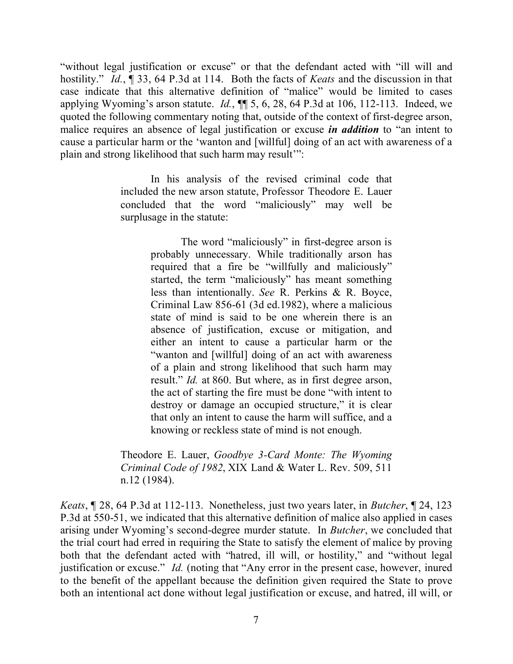"without legal justification or excuse" or that the defendant acted with "ill will and hostility." *Id.*, ¶ 33, 64 P.3d at 114. Both the facts of *Keats* and the discussion in that case indicate that this alternative definition of "malice" would be limited to cases applying Wyoming's arson statute. *Id.*, ¶¶ 5, 6, 28, 64 P.3d at 106, 112-113. Indeed, we quoted the following commentary noting that, outside of the context of first-degree arson, malice requires an absence of legal justification or excuse *in addition* to "an intent to cause a particular harm or the 'wanton and [willful] doing of an act with awareness of a plain and strong likelihood that such harm may result'":

> In his analysis of the revised criminal code that included the new arson statute, Professor Theodore E. Lauer concluded that the word "maliciously" may well be surplusage in the statute:

> > The word "maliciously" in first-degree arson is probably unnecessary. While traditionally arson has required that a fire be "willfully and maliciously" started, the term "maliciously" has meant something less than intentionally. *See* R. Perkins & R. Boyce, Criminal Law 856-61 (3d ed.1982), where a malicious state of mind is said to be one wherein there is an absence of justification, excuse or mitigation, and either an intent to cause a particular harm or the "wanton and [willful] doing of an act with awareness of a plain and strong likelihood that such harm may result." *Id.* at 860. But where, as in first degree arson, the act of starting the fire must be done "with intent to destroy or damage an occupied structure," it is clear that only an intent to cause the harm will suffice, and a knowing or reckless state of mind is not enough.

Theodore E. Lauer, *Goodbye 3-Card Monte: The Wyoming Criminal Code of 1982*, XIX Land & Water L. Rev. 509, 511 n.12 (1984).

*Keats*, ¶ 28, 64 P.3d at 112-113. Nonetheless, just two years later, in *Butcher*, ¶ 24, 123 P.3d at 550-51, we indicated that this alternative definition of malice also applied in cases arising under Wyoming's second-degree murder statute. In *Butcher*, we concluded that the trial court had erred in requiring the State to satisfy the element of malice by proving both that the defendant acted with "hatred, ill will, or hostility," and "without legal justification or excuse." *Id.* (noting that "Any error in the present case, however, inured to the benefit of the appellant because the definition given required the State to prove both an intentional act done without legal justification or excuse, and hatred, ill will, or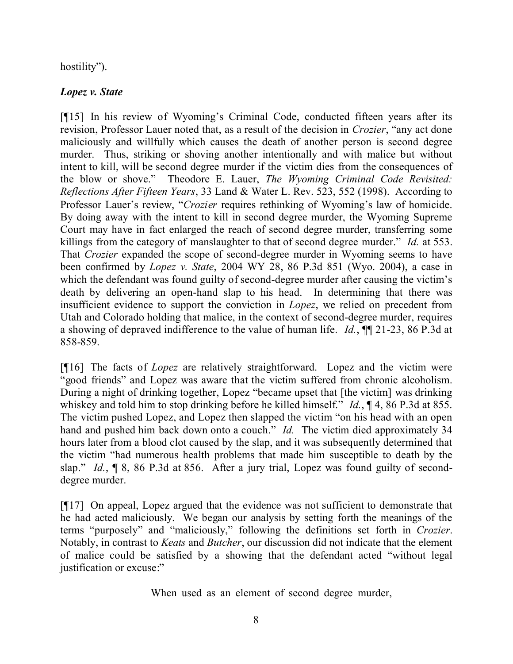# hostility").

# *Lopez v. State*

[¶15] In his review of Wyoming's Criminal Code, conducted fifteen years after its revision, Professor Lauer noted that, as a result of the decision in *Crozier*, "any act done maliciously and willfully which causes the death of another person is second degree murder. Thus, striking or shoving another intentionally and with malice but without intent to kill, will be second degree murder if the victim dies from the consequences of the blow or shove." Theodore E. Lauer, *The Wyoming Criminal Code Revisited: Reflections After Fifteen Years*, 33 Land & Water L. Rev. 523, 552 (1998). According to Professor Lauer's review, "*Crozier* requires rethinking of Wyoming's law of homicide. By doing away with the intent to kill in second degree murder, the Wyoming Supreme Court may have in fact enlarged the reach of second degree murder, transferring some killings from the category of manslaughter to that of second degree murder." *Id.* at 553. That *Crozier* expanded the scope of second-degree murder in Wyoming seems to have been confirmed by *Lopez v. State*, 2004 WY 28, 86 P.3d 851 (Wyo. 2004), a case in which the defendant was found guilty of second-degree murder after causing the victim's death by delivering an open-hand slap to his head. In determining that there was insufficient evidence to support the conviction in *Lopez*, we relied on precedent from Utah and Colorado holding that malice, in the context of second-degree murder, requires a showing of depraved indifference to the value of human life. *Id.*, ¶¶ 21-23, 86 P.3d at 858-859.

[¶16] The facts of *Lopez* are relatively straightforward. Lopez and the victim were "good friends" and Lopez was aware that the victim suffered from chronic alcoholism. During a night of drinking together, Lopez "became upset that [the victim] was drinking whiskey and told him to stop drinking before he killed himself." *Id.*, ¶ 4, 86 P.3d at 855. The victim pushed Lopez, and Lopez then slapped the victim "on his head with an open hand and pushed him back down onto a couch." *Id.* The victim died approximately 34 hours later from a blood clot caused by the slap, and it was subsequently determined that the victim "had numerous health problems that made him susceptible to death by the slap." *Id.*, ¶ 8, 86 P.3d at 856. After a jury trial, Lopez was found guilty of seconddegree murder.

[¶17] On appeal, Lopez argued that the evidence was not sufficient to demonstrate that he had acted maliciously. We began our analysis by setting forth the meanings of the terms "purposely" and "maliciously," following the definitions set forth in *Crozier*. Notably, in contrast to *Keats* and *Butcher*, our discussion did not indicate that the element of malice could be satisfied by a showing that the defendant acted "without legal justification or excuse:"

When used as an element of second degree murder,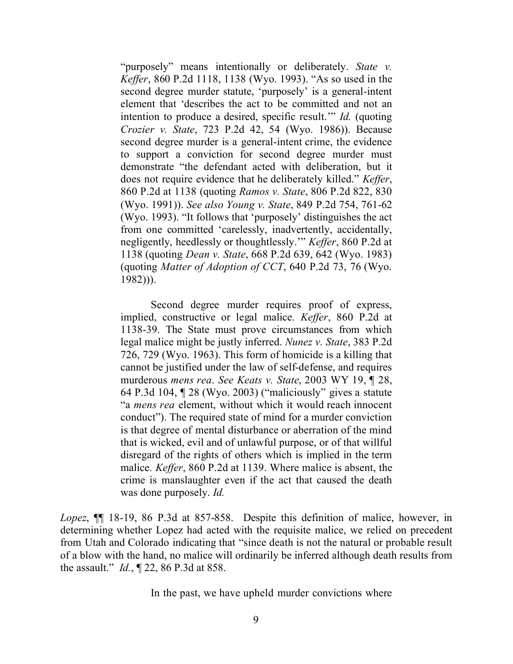"purposely" means intentionally or deliberately. *State v. Keffer*, 860 P.2d 1118, 1138 (Wyo. 1993). "As so used in the second degree murder statute, 'purposely' is a general-intent element that 'describes the act to be committed and not an intention to produce a desired, specific result.'" *Id.* (quoting *Crozier v. State*, 723 P.2d 42, 54 (Wyo. 1986)). Because second degree murder is a general-intent crime, the evidence to support a conviction for second degree murder must demonstrate "the defendant acted with deliberation, but it does not require evidence that he deliberately killed." *Keffer*, 860 P.2d at 1138 (quoting *Ramos v. State*, 806 P.2d 822, 830 (Wyo. 1991)). *See also Young v. State*, 849 P.2d 754, 761-62 (Wyo. 1993). "It follows that 'purposely' distinguishes the act from one committed 'carelessly, inadvertently, accidentally, negligently, heedlessly or thoughtlessly.'" *Keffer*, 860 P.2d at 1138 (quoting *Dean v. State*, 668 P.2d 639, 642 (Wyo. 1983) (quoting *Matter of Adoption of CCT*, 640 P.2d 73, 76 (Wyo. 1982))).

Second degree murder requires proof of express, implied, constructive or legal malice. *Keffer*, 860 P.2d at 1138-39. The State must prove circumstances from which legal malice might be justly inferred. *Nunez v. State*, 383 P.2d 726, 729 (Wyo. 1963). This form of homicide is a killing that cannot be justified under the law of self-defense, and requires murderous *mens rea*. *See Keats v. State*, 2003 WY 19, ¶ 28, 64 P.3d 104, ¶ 28 (Wyo. 2003) ("maliciously" gives a statute "a *mens rea* element, without which it would reach innocent conduct"). The required state of mind for a murder conviction is that degree of mental disturbance or aberration of the mind that is wicked, evil and of unlawful purpose, or of that willful disregard of the rights of others which is implied in the term malice. *Keffer*, 860 P.2d at 1139. Where malice is absent, the crime is manslaughter even if the act that caused the death was done purposely. *Id.*

*Lopez*, ¶¶ 18-19, 86 P.3d at 857-858. Despite this definition of malice, however, in determining whether Lopez had acted with the requisite malice, we relied on precedent from Utah and Colorado indicating that "since death is not the natural or probable result of a blow with the hand, no malice will ordinarily be inferred although death results from the assault." *Id.*, ¶ 22, 86 P.3d at 858.

In the past, we have upheld murder convictions where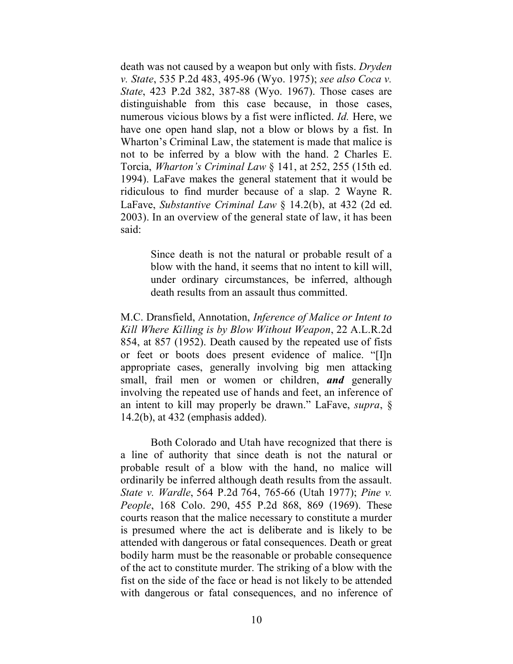death was not caused by a weapon but only with fists. *Dryden v. State*, 535 P.2d 483, 495-96 (Wyo. 1975); *see also Coca v. State*, 423 P.2d 382, 387-88 (Wyo. 1967). Those cases are distinguishable from this case because, in those cases, numerous vicious blows by a fist were inflicted. *Id.* Here, we have one open hand slap, not a blow or blows by a fist. In Wharton's Criminal Law, the statement is made that malice is not to be inferred by a blow with the hand. 2 Charles E. Torcia, *Wharton's Criminal Law* § 141, at 252, 255 (15th ed. 1994). LaFave makes the general statement that it would be ridiculous to find murder because of a slap. 2 Wayne R. LaFave, *Substantive Criminal Law* § 14.2(b), at 432 (2d ed. 2003). In an overview of the general state of law, it has been said:

> Since death is not the natural or probable result of a blow with the hand, it seems that no intent to kill will, under ordinary circumstances, be inferred, although death results from an assault thus committed.

M.C. Dransfield, Annotation, *Inference of Malice or Intent to Kill Where Killing is by Blow Without Weapon*, 22 A.L.R.2d 854, at 857 (1952). Death caused by the repeated use of fists or feet or boots does present evidence of malice. "[I]n appropriate cases, generally involving big men attacking small, frail men or women or children, *and* generally involving the repeated use of hands and feet, an inference of an intent to kill may properly be drawn." LaFave, *supra*, § 14.2(b), at 432 (emphasis added).

Both Colorado and Utah have recognized that there is a line of authority that since death is not the natural or probable result of a blow with the hand, no malice will ordinarily be inferred although death results from the assault. *State v. Wardle*, 564 P.2d 764, 765-66 (Utah 1977); *Pine v. People*, 168 Colo. 290, 455 P.2d 868, 869 (1969). These courts reason that the malice necessary to constitute a murder is presumed where the act is deliberate and is likely to be attended with dangerous or fatal consequences. Death or great bodily harm must be the reasonable or probable consequence of the act to constitute murder. The striking of a blow with the fist on the side of the face or head is not likely to be attended with dangerous or fatal consequences, and no inference of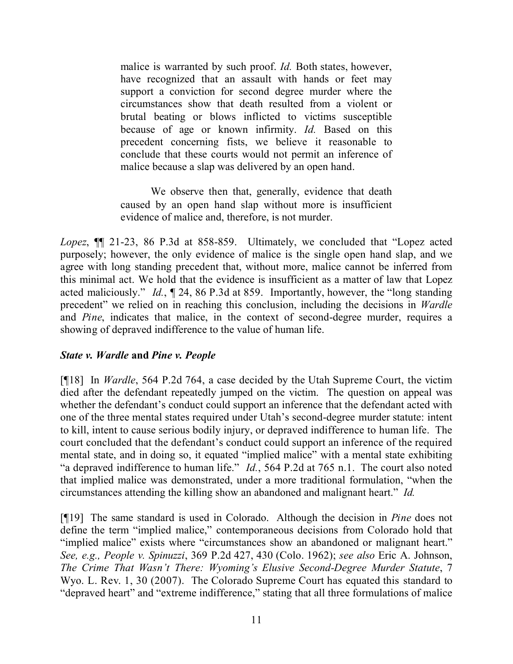malice is warranted by such proof. *Id.* Both states, however, have recognized that an assault with hands or feet may support a conviction for second degree murder where the circumstances show that death resulted from a violent or brutal beating or blows inflicted to victims susceptible because of age or known infirmity. *Id.* Based on this precedent concerning fists, we believe it reasonable to conclude that these courts would not permit an inference of malice because a slap was delivered by an open hand.

We observe then that, generally, evidence that death caused by an open hand slap without more is insufficient evidence of malice and, therefore, is not murder.

*Lopez*, ¶¶ 21-23, 86 P.3d at 858-859. Ultimately, we concluded that "Lopez acted purposely; however, the only evidence of malice is the single open hand slap, and we agree with long standing precedent that, without more, malice cannot be inferred from this minimal act. We hold that the evidence is insufficient as a matter of law that Lopez acted maliciously." *Id.*, ¶ 24, 86 P.3d at 859. Importantly, however, the "long standing precedent" we relied on in reaching this conclusion, including the decisions in *Wardle*  and *Pine*, indicates that malice, in the context of second-degree murder, requires a showing of depraved indifference to the value of human life.

## *State v. Wardle* **and** *Pine v. People*

[¶18] In *Wardle*, 564 P.2d 764, a case decided by the Utah Supreme Court, the victim died after the defendant repeatedly jumped on the victim. The question on appeal was whether the defendant's conduct could support an inference that the defendant acted with one of the three mental states required under Utah's second-degree murder statute: intent to kill, intent to cause serious bodily injury, or depraved indifference to human life. The court concluded that the defendant's conduct could support an inference of the required mental state, and in doing so, it equated "implied malice" with a mental state exhibiting "a depraved indifference to human life." *Id.*, 564 P.2d at 765 n.1. The court also noted that implied malice was demonstrated, under a more traditional formulation, "when the circumstances attending the killing show an abandoned and malignant heart." *Id.*

[¶19] The same standard is used in Colorado. Although the decision in *Pine* does not define the term "implied malice," contemporaneous decisions from Colorado hold that "implied malice" exists where "circumstances show an abandoned or malignant heart." *See, e.g., People v. Spinuzzi*, 369 P.2d 427, 430 (Colo. 1962); *see also* Eric A. Johnson, *The Crime That Wasn't There: Wyoming's Elusive Second-Degree Murder Statute*, 7 Wyo. L. Rev. 1, 30 (2007). The Colorado Supreme Court has equated this standard to "depraved heart" and "extreme indifference," stating that all three formulations of malice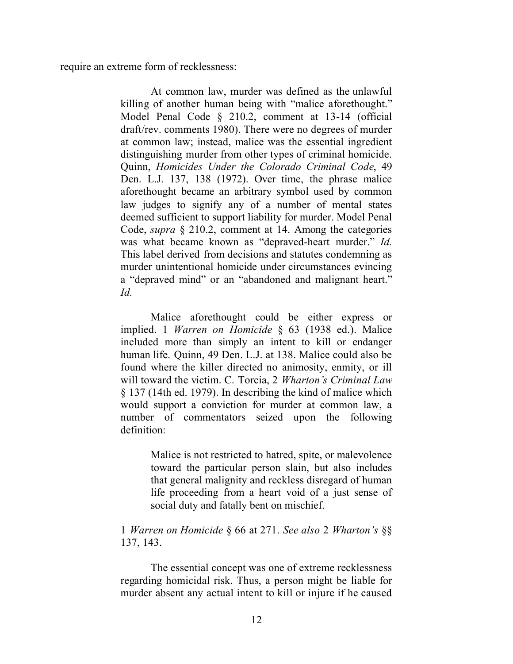require an extreme form of recklessness:

At common law, murder was defined as the unlawful killing of another human being with "malice aforethought." Model Penal Code § 210.2, comment at 13-14 (official draft/rev. comments 1980). There were no degrees of murder at common law; instead, malice was the essential ingredient distinguishing murder from other types of criminal homicide. Quinn, *Homicides Under the Colorado Criminal Code*, 49 Den. L.J. 137, 138 (1972). Over time, the phrase malice aforethought became an arbitrary symbol used by common law judges to signify any of a number of mental states deemed sufficient to support liability for murder. Model Penal Code, *supra* § 210.2, comment at 14. Among the categories was what became known as "depraved-heart murder." *Id.* This label derived from decisions and statutes condemning as murder unintentional homicide under circumstances evincing a "depraved mind" or an "abandoned and malignant heart." *Id.*

Malice aforethought could be either express or implied. 1 *Warren on Homicide* § 63 (1938 ed.). Malice included more than simply an intent to kill or endanger human life. Quinn, 49 Den. L.J. at 138. Malice could also be found where the killer directed no animosity, enmity, or ill will toward the victim. C. Torcia, 2 *Wharton's Criminal Law* § 137 (14th ed. 1979). In describing the kind of malice which would support a conviction for murder at common law, a number of commentators seized upon the following definition:

> Malice is not restricted to hatred, spite, or malevolence toward the particular person slain, but also includes that general malignity and reckless disregard of human life proceeding from a heart void of a just sense of social duty and fatally bent on mischief.

#### 1 *Warren on Homicide* § 66 at 271. *See also* 2 *Wharton's* §§ 137, 143.

The essential concept was one of extreme recklessness regarding homicidal risk. Thus, a person might be liable for murder absent any actual intent to kill or injure if he caused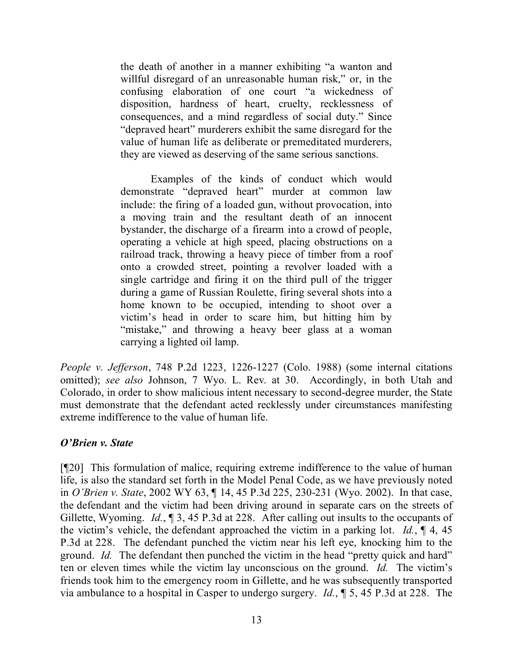the death of another in a manner exhibiting "a wanton and willful disregard of an unreasonable human risk," or, in the confusing elaboration of one court "a wickedness of disposition, hardness of heart, cruelty, recklessness of consequences, and a mind regardless of social duty." Since "depraved heart" murderers exhibit the same disregard for the value of human life as deliberate or premeditated murderers, they are viewed as deserving of the same serious sanctions.

Examples of the kinds of conduct which would demonstrate "depraved heart" murder at common law include: the firing of a loaded gun, without provocation, into a moving train and the resultant death of an innocent bystander, the discharge of a firearm into a crowd of people, operating a vehicle at high speed, placing obstructions on a railroad track, throwing a heavy piece of timber from a roof onto a crowded street, pointing a revolver loaded with a single cartridge and firing it on the third pull of the trigger during a game of Russian Roulette, firing several shots into a home known to be occupied, intending to shoot over a victim's head in order to scare him, but hitting him by "mistake," and throwing a heavy beer glass at a woman carrying a lighted oil lamp.

*People v. Jefferson*, 748 P.2d 1223, 1226-1227 (Colo. 1988) (some internal citations omitted); *see also* Johnson, 7 Wyo. L. Rev. at 30. Accordingly, in both Utah and Colorado, in order to show malicious intent necessary to second-degree murder, the State must demonstrate that the defendant acted recklessly under circumstances manifesting extreme indifference to the value of human life.

## *O'Brien v. State*

[¶20] This formulation of malice, requiring extreme indifference to the value of human life, is also the standard set forth in the Model Penal Code, as we have previously noted in *O'Brien v. State*, 2002 WY 63, ¶ 14, 45 P.3d 225, 230-231 (Wyo. 2002). In that case, the defendant and the victim had been driving around in separate cars on the streets of Gillette, Wyoming. *Id.*, ¶ 3, 45 P.3d at 228. After calling out insults to the occupants of the victim's vehicle, the defendant approached the victim in a parking lot. *Id.*, ¶ 4, 45 P.3d at 228. The defendant punched the victim near his left eye, knocking him to the ground. *Id.* The defendant then punched the victim in the head "pretty quick and hard" ten or eleven times while the victim lay unconscious on the ground. *Id.* The victim's friends took him to the emergency room in Gillette, and he was subsequently transported via ambulance to a hospital in Casper to undergo surgery. *Id.*, ¶ 5, 45 P.3d at 228. The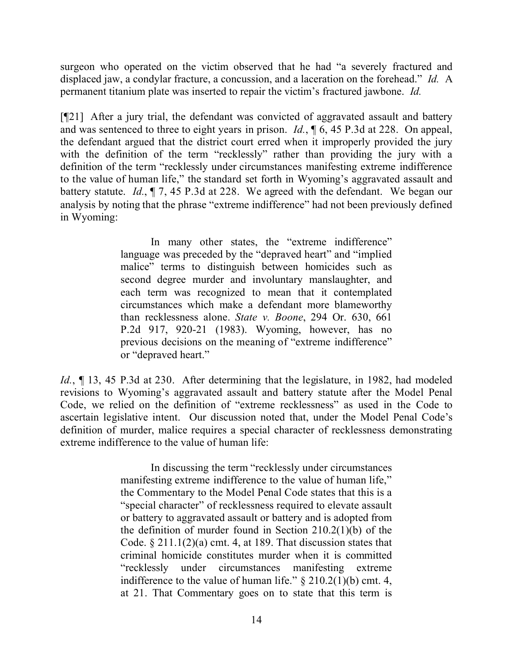surgeon who operated on the victim observed that he had "a severely fractured and displaced jaw, a condylar fracture, a concussion, and a laceration on the forehead." *Id.* A permanent titanium plate was inserted to repair the victim's fractured jawbone. *Id.*

[¶21] After a jury trial, the defendant was convicted of aggravated assault and battery and was sentenced to three to eight years in prison. *Id.*, ¶ 6, 45 P.3d at 228. On appeal, the defendant argued that the district court erred when it improperly provided the jury with the definition of the term "recklessly" rather than providing the jury with a definition of the term "recklessly under circumstances manifesting extreme indifference to the value of human life," the standard set forth in Wyoming's aggravated assault and battery statute. *Id.*, ¶ 7, 45 P.3d at 228. We agreed with the defendant. We began our analysis by noting that the phrase "extreme indifference" had not been previously defined in Wyoming:

> In many other states, the "extreme indifference" language was preceded by the "depraved heart" and "implied malice" terms to distinguish between homicides such as second degree murder and involuntary manslaughter, and each term was recognized to mean that it contemplated circumstances which make a defendant more blameworthy than recklessness alone. *State v. Boone*, 294 Or. 630, 661 P.2d 917, 920-21 (1983). Wyoming, however, has no previous decisions on the meaning of "extreme indifference" or "depraved heart."

*Id.*, ¶ 13, 45 P.3d at 230. After determining that the legislature, in 1982, had modeled revisions to Wyoming's aggravated assault and battery statute after the Model Penal Code, we relied on the definition of "extreme recklessness" as used in the Code to ascertain legislative intent. Our discussion noted that, under the Model Penal Code's definition of murder, malice requires a special character of recklessness demonstrating extreme indifference to the value of human life:

> In discussing the term "recklessly under circumstances manifesting extreme indifference to the value of human life," the Commentary to the Model Penal Code states that this is a "special character" of recklessness required to elevate assault or battery to aggravated assault or battery and is adopted from the definition of murder found in Section 210.2(1)(b) of the Code.  $\S 211.1(2)(a)$  cmt. 4, at 189. That discussion states that criminal homicide constitutes murder when it is committed "recklessly under circumstances manifesting extreme indifference to the value of human life."  $\S 210.2(1)(b)$  cmt. 4, at 21. That Commentary goes on to state that this term is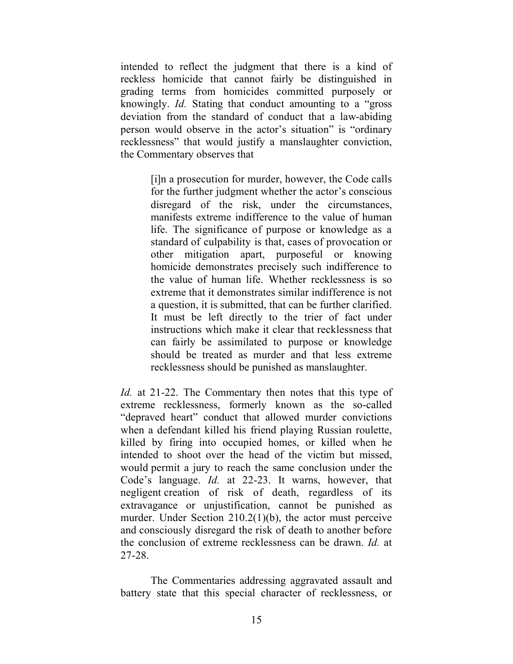intended to reflect the judgment that there is a kind of reckless homicide that cannot fairly be distinguished in grading terms from homicides committed purposely or knowingly. *Id.* Stating that conduct amounting to a "gross deviation from the standard of conduct that a law-abiding person would observe in the actor's situation" is "ordinary recklessness" that would justify a manslaughter conviction, the Commentary observes that

> [i]n a prosecution for murder, however, the Code calls for the further judgment whether the actor's conscious disregard of the risk, under the circumstances, manifests extreme indifference to the value of human life. The significance of purpose or knowledge as a standard of culpability is that, cases of provocation or other mitigation apart, purposeful or knowing homicide demonstrates precisely such indifference to the value of human life. Whether recklessness is so extreme that it demonstrates similar indifference is not a question, it is submitted, that can be further clarified. It must be left directly to the trier of fact under instructions which make it clear that recklessness that can fairly be assimilated to purpose or knowledge should be treated as murder and that less extreme recklessness should be punished as manslaughter.

*Id.* at 21-22. The Commentary then notes that this type of extreme recklessness, formerly known as the so-called "depraved heart" conduct that allowed murder convictions when a defendant killed his friend playing Russian roulette, killed by firing into occupied homes, or killed when he intended to shoot over the head of the victim but missed, would permit a jury to reach the same conclusion under the Code's language. *Id.* at 22-23. It warns, however, that negligent creation of risk of death, regardless of its extravagance or unjustification, cannot be punished as murder. Under Section 210.2(1)(b), the actor must perceive and consciously disregard the risk of death to another before the conclusion of extreme recklessness can be drawn. *Id.* at 27-28.

The Commentaries addressing aggravated assault and battery state that this special character of recklessness, or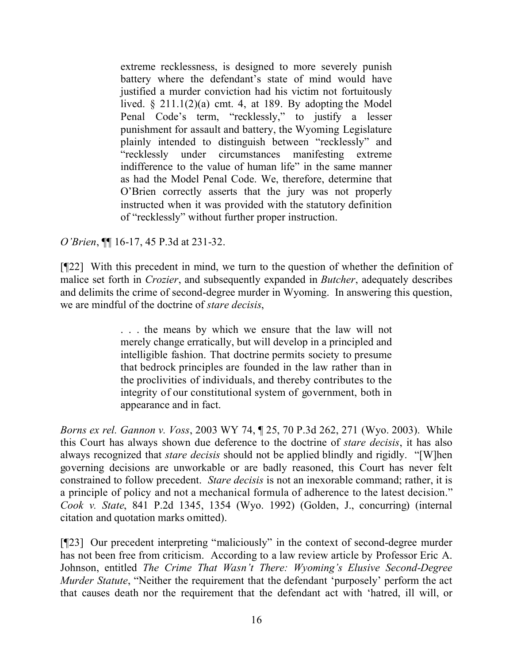extreme recklessness, is designed to more severely punish battery where the defendant's state of mind would have justified a murder conviction had his victim not fortuitously lived.  $\S 211.1(2)(a)$  cmt. 4, at 189. By adopting the Model Penal Code's term, "recklessly," to justify a lesser punishment for assault and battery, the Wyoming Legislature plainly intended to distinguish between "recklessly" and "recklessly under circumstances manifesting extreme indifference to the value of human life" in the same manner as had the Model Penal Code. We, therefore, determine that O'Brien correctly asserts that the jury was not properly instructed when it was provided with the statutory definition of "recklessly" without further proper instruction.

*O'Brien*, ¶¶ 16-17, 45 P.3d at 231-32.

[¶22] With this precedent in mind, we turn to the question of whether the definition of malice set forth in *Crozier*, and subsequently expanded in *Butcher*, adequately describes and delimits the crime of second-degree murder in Wyoming. In answering this question, we are mindful of the doctrine of *stare decisis*,

> . . . the means by which we ensure that the law will not merely change erratically, but will develop in a principled and intelligible fashion. That doctrine permits society to presume that bedrock principles are founded in the law rather than in the proclivities of individuals, and thereby contributes to the integrity of our constitutional system of government, both in appearance and in fact.

*Borns ex rel. Gannon v. Voss*, 2003 WY 74, ¶ 25, 70 P.3d 262, 271 (Wyo. 2003). While this Court has always shown due deference to the doctrine of *stare decisis*, it has also always recognized that *stare decisis* should not be applied blindly and rigidly. "[W]hen governing decisions are unworkable or are badly reasoned, this Court has never felt constrained to follow precedent. *Stare decisis* is not an inexorable command; rather, it is a principle of policy and not a mechanical formula of adherence to the latest decision." *Cook v. State*, 841 P.2d 1345, 1354 (Wyo. 1992) (Golden, J., concurring) (internal citation and quotation marks omitted).

[¶23] Our precedent interpreting "maliciously" in the context of second-degree murder has not been free from criticism. According to a law review article by Professor Eric A. Johnson, entitled *The Crime That Wasn't There: Wyoming's Elusive Second-Degree Murder Statute*, "Neither the requirement that the defendant 'purposely' perform the act that causes death nor the requirement that the defendant act with 'hatred, ill will, or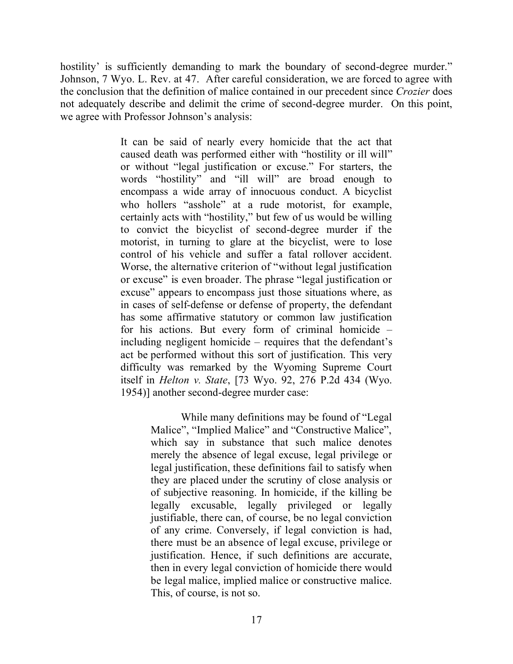hostility' is sufficiently demanding to mark the boundary of second-degree murder." Johnson, 7 Wyo. L. Rev. at 47. After careful consideration, we are forced to agree with the conclusion that the definition of malice contained in our precedent since *Crozier* does not adequately describe and delimit the crime of second-degree murder. On this point, we agree with Professor Johnson's analysis:

> It can be said of nearly every homicide that the act that caused death was performed either with "hostility or ill will" or without "legal justification or excuse." For starters, the words "hostility" and "ill will" are broad enough to encompass a wide array of innocuous conduct. A bicyclist who hollers "asshole" at a rude motorist, for example, certainly acts with "hostility," but few of us would be willing to convict the bicyclist of second-degree murder if the motorist, in turning to glare at the bicyclist, were to lose control of his vehicle and suffer a fatal rollover accident. Worse, the alternative criterion of "without legal justification or excuse" is even broader. The phrase "legal justification or excuse" appears to encompass just those situations where, as in cases of self-defense or defense of property, the defendant has some affirmative statutory or common law justification for his actions. But every form of criminal homicide – including negligent homicide – requires that the defendant's act be performed without this sort of justification. This very difficulty was remarked by the Wyoming Supreme Court itself in *Helton v. State*, [73 Wyo. 92, 276 P.2d 434 (Wyo. 1954)] another second-degree murder case:

> > While many definitions may be found of "Legal Malice", "Implied Malice" and "Constructive Malice", which say in substance that such malice denotes merely the absence of legal excuse, legal privilege or legal justification, these definitions fail to satisfy when they are placed under the scrutiny of close analysis or of subjective reasoning. In homicide, if the killing be legally excusable, legally privileged or legally justifiable, there can, of course, be no legal conviction of any crime. Conversely, if legal conviction is had, there must be an absence of legal excuse, privilege or justification. Hence, if such definitions are accurate, then in every legal conviction of homicide there would be legal malice, implied malice or constructive malice. This, of course, is not so.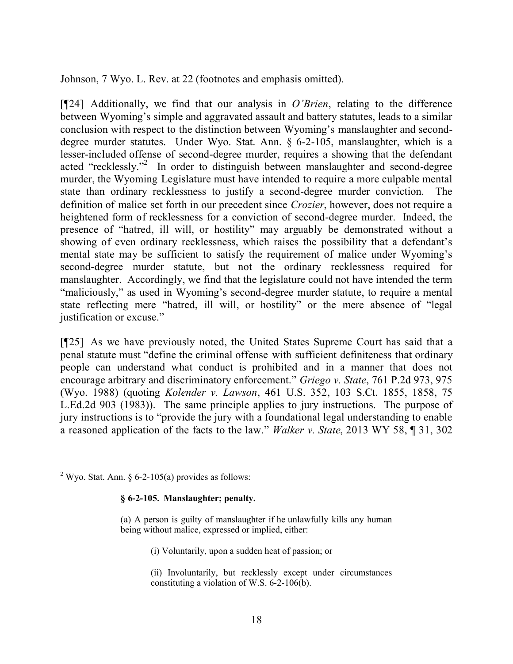Johnson, 7 Wyo. L. Rev. at 22 (footnotes and emphasis omitted).

[¶24] Additionally, we find that our analysis in *O'Brien*, relating to the difference between Wyoming's simple and aggravated assault and battery statutes, leads to a similar conclusion with respect to the distinction between Wyoming's manslaughter and seconddegree murder statutes. Under Wyo. Stat. Ann. § 6-2-105, manslaughter, which is a lesser-included offense of second-degree murder, requires a showing that the defendant acted "recklessly."<sup>2</sup> In order to distinguish between manslaughter and second-degree murder, the Wyoming Legislature must have intended to require a more culpable mental state than ordinary recklessness to justify a second-degree murder conviction. The definition of malice set forth in our precedent since *Crozier*, however, does not require a heightened form of recklessness for a conviction of second-degree murder. Indeed, the presence of "hatred, ill will, or hostility" may arguably be demonstrated without a showing of even ordinary recklessness, which raises the possibility that a defendant's mental state may be sufficient to satisfy the requirement of malice under Wyoming's second-degree murder statute, but not the ordinary recklessness required for manslaughter. Accordingly, we find that the legislature could not have intended the term "maliciously," as used in Wyoming's second-degree murder statute, to require a mental state reflecting mere "hatred, ill will, or hostility" or the mere absence of "legal justification or excuse."

[¶25] As we have previously noted, the United States Supreme Court has said that a penal statute must "define the criminal offense with sufficient definiteness that ordinary people can understand what conduct is prohibited and in a manner that does not encourage arbitrary and discriminatory enforcement." *Griego v. State*, 761 P.2d 973, 975 (Wyo. 1988) (quoting *Kolender v. Lawson*, 461 U.S. 352, 103 S.Ct. 1855, 1858, 75 L.Ed.2d 903 (1983)). The same principle applies to jury instructions. The purpose of jury instructions is to "provide the jury with a foundational legal understanding to enable a reasoned application of the facts to the law." *Walker v. State*, 2013 WY 58, ¶ 31, 302

#### **§ 6-2-105. Manslaughter; penalty.**

- (i) Voluntarily, upon a sudden heat of passion; or
- (ii) Involuntarily, but recklessly except under circumstances constituting a violation of W.S. 6-2-106(b).

<sup>&</sup>lt;sup>2</sup> Wyo. Stat. Ann. § 6-2-105(a) provides as follows:

<sup>(</sup>a) A person is guilty of manslaughter if he unlawfully kills any human being without malice, expressed or implied, either: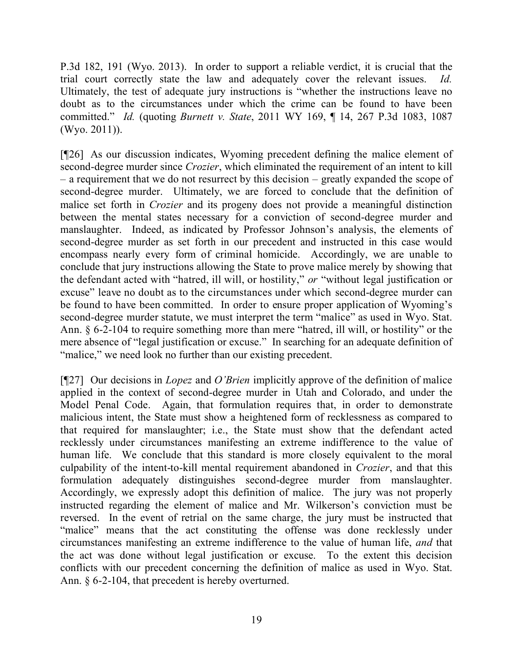P.3d 182, 191 (Wyo. 2013). In order to support a reliable verdict, it is crucial that the trial court correctly state the law and adequately cover the relevant issues. *Id.* Ultimately, the test of adequate jury instructions is "whether the instructions leave no doubt as to the circumstances under which the crime can be found to have been committed." *Id.* (quoting *Burnett v. State*, 2011 WY 169, ¶ 14, 267 P.3d 1083, 1087 (Wyo. 2011)).

[¶26] As our discussion indicates, Wyoming precedent defining the malice element of second-degree murder since *Crozier*, which eliminated the requirement of an intent to kill – a requirement that we do not resurrect by this decision – greatly expanded the scope of second-degree murder. Ultimately, we are forced to conclude that the definition of malice set forth in *Crozier* and its progeny does not provide a meaningful distinction between the mental states necessary for a conviction of second-degree murder and manslaughter. Indeed, as indicated by Professor Johnson's analysis, the elements of second-degree murder as set forth in our precedent and instructed in this case would encompass nearly every form of criminal homicide. Accordingly, we are unable to conclude that jury instructions allowing the State to prove malice merely by showing that the defendant acted with "hatred, ill will, or hostility," *or* "without legal justification or excuse" leave no doubt as to the circumstances under which second-degree murder can be found to have been committed. In order to ensure proper application of Wyoming's second-degree murder statute, we must interpret the term "malice" as used in Wyo. Stat. Ann. § 6-2-104 to require something more than mere "hatred, ill will, or hostility" or the mere absence of "legal justification or excuse." In searching for an adequate definition of "malice," we need look no further than our existing precedent.

[¶27] Our decisions in *Lopez* and *O'Brien* implicitly approve of the definition of malice applied in the context of second-degree murder in Utah and Colorado, and under the Model Penal Code. Again, that formulation requires that, in order to demonstrate malicious intent, the State must show a heightened form of recklessness as compared to that required for manslaughter; i.e., the State must show that the defendant acted recklessly under circumstances manifesting an extreme indifference to the value of human life. We conclude that this standard is more closely equivalent to the moral culpability of the intent-to-kill mental requirement abandoned in *Crozier*, and that this formulation adequately distinguishes second-degree murder from manslaughter. Accordingly, we expressly adopt this definition of malice. The jury was not properly instructed regarding the element of malice and Mr. Wilkerson's conviction must be reversed. In the event of retrial on the same charge, the jury must be instructed that "malice" means that the act constituting the offense was done recklessly under circumstances manifesting an extreme indifference to the value of human life, *and* that the act was done without legal justification or excuse. To the extent this decision conflicts with our precedent concerning the definition of malice as used in Wyo. Stat. Ann. § 6-2-104, that precedent is hereby overturned.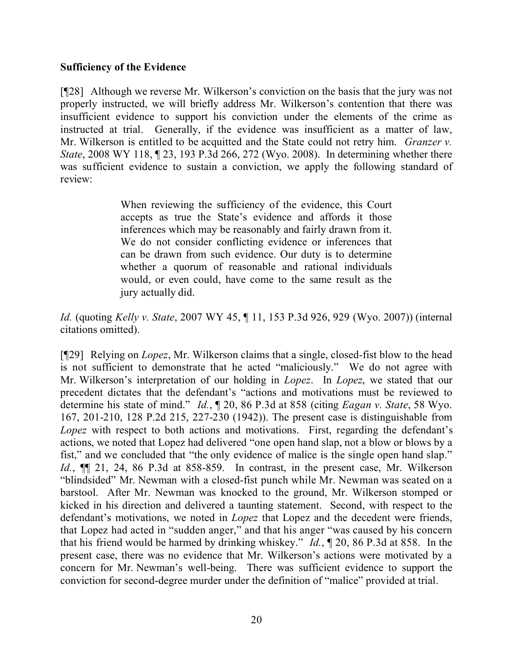### **Sufficiency of the Evidence**

[¶28] Although we reverse Mr. Wilkerson's conviction on the basis that the jury was not properly instructed, we will briefly address Mr. Wilkerson's contention that there was insufficient evidence to support his conviction under the elements of the crime as instructed at trial. Generally, if the evidence was insufficient as a matter of law, Mr. Wilkerson is entitled to be acquitted and the State could not retry him. *Granzer v. State*, 2008 WY 118, ¶ 23, 193 P.3d 266, 272 (Wyo. 2008). In determining whether there was sufficient evidence to sustain a conviction, we apply the following standard of review:

> When reviewing the sufficiency of the evidence, this Court accepts as true the State's evidence and affords it those inferences which may be reasonably and fairly drawn from it. We do not consider conflicting evidence or inferences that can be drawn from such evidence. Our duty is to determine whether a quorum of reasonable and rational individuals would, or even could, have come to the same result as the jury actually did.

*Id.* (quoting *Kelly v. State*, 2007 WY 45, ¶ 11, 153 P.3d 926, 929 (Wyo. 2007)) (internal citations omitted).

[¶29] Relying on *Lopez*, Mr. Wilkerson claims that a single, closed-fist blow to the head is not sufficient to demonstrate that he acted "maliciously." We do not agree with Mr. Wilkerson's interpretation of our holding in *Lopez*. In *Lopez*, we stated that our precedent dictates that the defendant's "actions and motivations must be reviewed to determine his state of mind." *Id.*, ¶ 20, 86 P.3d at 858 (citing *Eagan v. State*, 58 Wyo. 167, 201-210, 128 P.2d 215, 227-230 (1942)). The present case is distinguishable from *Lopez* with respect to both actions and motivations. First, regarding the defendant's actions, we noted that Lopez had delivered "one open hand slap, not a blow or blows by a fist," and we concluded that "the only evidence of malice is the single open hand slap." *Id.*, ¶¶ 21, 24, 86 P.3d at 858-859. In contrast, in the present case, Mr. Wilkerson "blindsided" Mr. Newman with a closed-fist punch while Mr. Newman was seated on a barstool. After Mr. Newman was knocked to the ground, Mr. Wilkerson stomped or kicked in his direction and delivered a taunting statement. Second, with respect to the defendant's motivations, we noted in *Lopez* that Lopez and the decedent were friends, that Lopez had acted in "sudden anger," and that his anger "was caused by his concern that his friend would be harmed by drinking whiskey." *Id.*, ¶ 20, 86 P.3d at 858. In the present case, there was no evidence that Mr. Wilkerson's actions were motivated by a concern for Mr. Newman's well-being. There was sufficient evidence to support the conviction for second-degree murder under the definition of "malice" provided at trial.